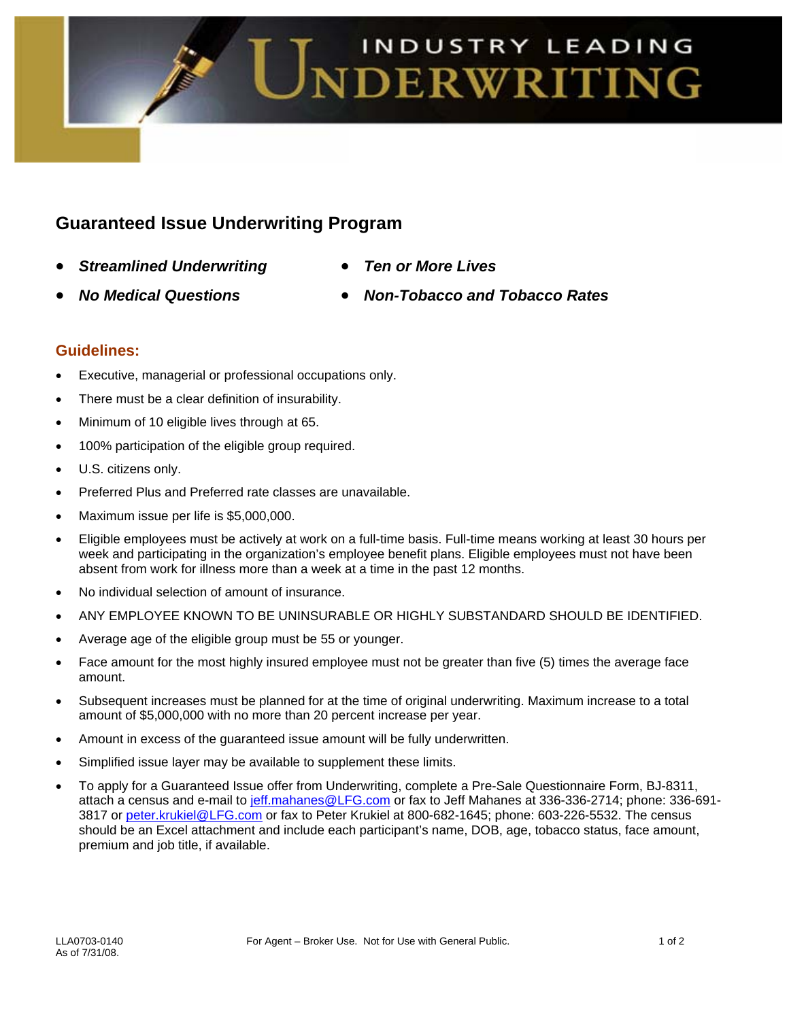

# **Guaranteed Issue Underwriting Program**

- *Streamlined Underwriting Ten or More Lives*
- 
- 
- *No Medical Questions Non-Tobacco and Tobacco Rates*

## **Guidelines:**

- Executive, managerial or professional occupations only.
- There must be a clear definition of insurability.
- Minimum of 10 eligible lives through at 65.
- 100% participation of the eligible group required.
- U.S. citizens only.
- Preferred Plus and Preferred rate classes are unavailable.
- Maximum issue per life is \$5,000,000.
- Eligible employees must be actively at work on a full-time basis. Full-time means working at least 30 hours per week and participating in the organization's employee benefit plans. Eligible employees must not have been absent from work for illness more than a week at a time in the past 12 months.
- No individual selection of amount of insurance.
- ANY EMPLOYEE KNOWN TO BE UNINSURABLE OR HIGHLY SUBSTANDARD SHOULD BE IDENTIFIED.
- Average age of the eligible group must be 55 or younger.
- Face amount for the most highly insured employee must not be greater than five (5) times the average face amount.
- Subsequent increases must be planned for at the time of original underwriting. Maximum increase to a total amount of \$5,000,000 with no more than 20 percent increase per year.
- Amount in excess of the guaranteed issue amount will be fully underwritten.
- Simplified issue layer may be available to supplement these limits.
- To apply for a Guaranteed Issue offer from Underwriting, complete a Pre-Sale Questionnaire Form, BJ-8311, attach a census and e-mail to jeff.mahanes@LFG.com or fax to Jeff Mahanes at 336-336-2714; phone: 336-691-3817 or peter.krukiel@LFG.com or fax to Peter Krukiel at 800-682-1645; phone: 603-226-5532. The census should be an Excel attachment and include each participant's name, DOB, age, tobacco status, face amount, premium and job title, if available.